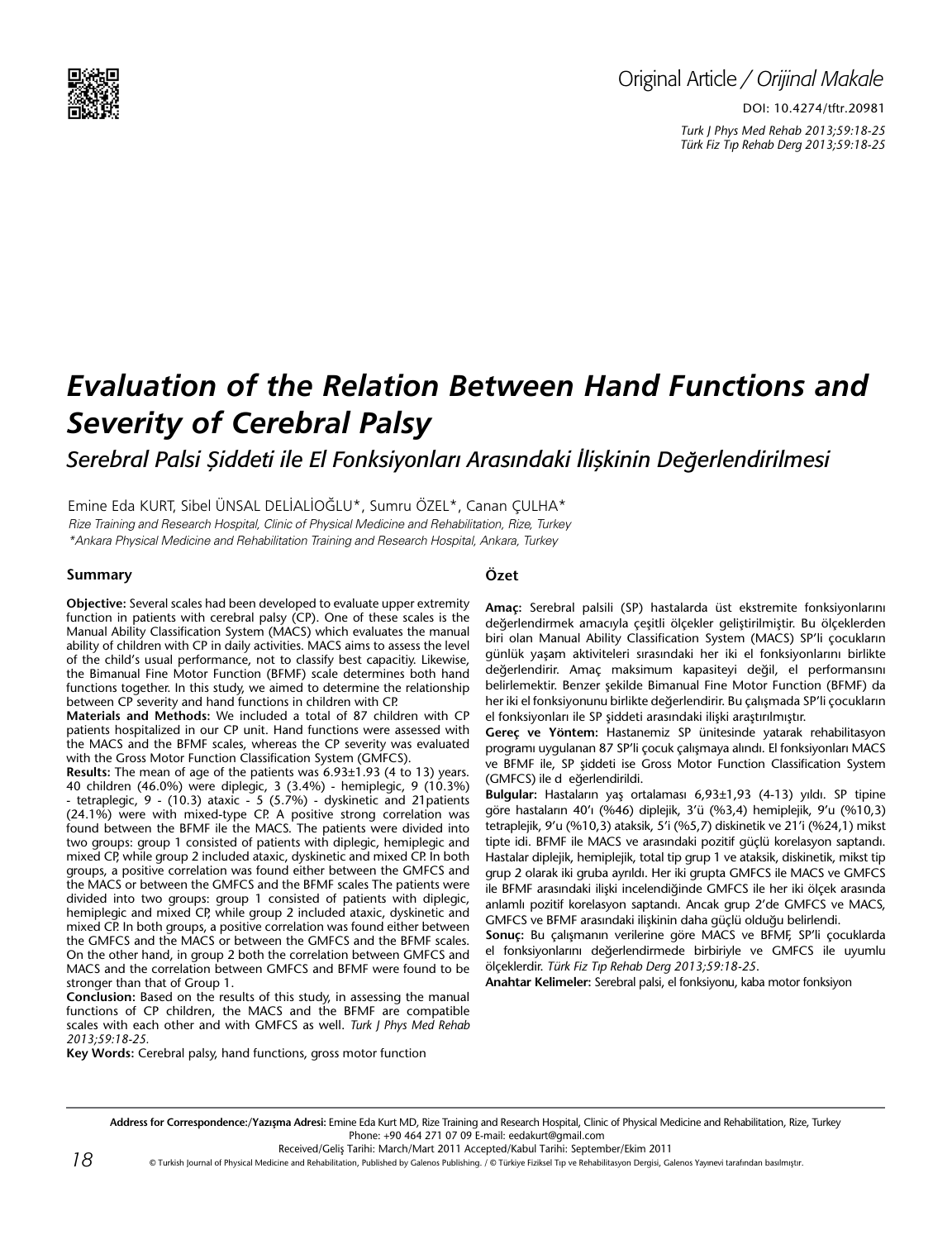

# Original Article */ Orijinal Makale*

DOI: 10.4274/tftr.20981 *Turk J Phys Med Rehab 2013;59:18-25 Türk Fiz T›p Rehab Derg 2013;59:18-25*

# *Evaluation of the Relation Between Hand Functions and Severity of Cerebral Palsy*

*Serebral Palsi Şiddeti ile El Fonksiyonları Arasındaki İlişkinin Değerlendirilmesi*

Emine Eda Kurt, Sibel Ünsal Delİalİoğlu\*, Sumru Özel\*, Canan Çulha\* Rize Training and Research Hospital, Clinic of Physical Medicine and Rehabilitation, Rize, Turkey \*Ankara Physical Medicine and Rehabilitation Training and Research Hospital, Ankara, Turkey

## **Summary**

# **Özet**

**Objective:** Several scales had been developed to evaluate upper extremity function in patients with cerebral palsy (CP). One of these scales is the Manual Ability Classification System (MACS) which evaluates the manual ability of children with CP in daily activities. MACS aims to assess the level of the child's usual performance, not to classify best capacitiy. Likewise, the Bimanual Fine Motor Function (BFMF) scale determines both hand functions together. In this study, we aimed to determine the relationship between CP severity and hand functions in children with CP.

**Materials and Methods:** We included a total of 87 children with CP patients hospitalized in our CP unit. Hand functions were assessed with the MACS and the BFMF scales, whereas the CP severity was evaluated with the Gross Motor Function Classification System (GMFCS).

**Results:** The mean of age of the patients was 6.93±1.93 (4 to 13) years. 40 children (46.0%) were diplegic, 3 (3.4%) - hemiplegic, 9 (10.3%) - tetraplegic, 9 - (10.3) ataxic - 5 (5.7%) - dyskinetic and 21patients (24.1%) were with mixed-type CP. A positive strong correlation was found between the BFMF ile the MACS. The patients were divided into two groups: group 1 consisted of patients with diplegic, hemiplegic and mixed CP, while group 2 included ataxic, dyskinetic and mixed CP. In both groups, a positive correlation was found either between the GMFCS and the MACS or between the GMFCS and the BFMF scales The patients were divided into two groups: group 1 consisted of patients with diplegic, hemiplegic and mixed CP, while group 2 included ataxic, dyskinetic and mixed CP. In both groups, a positive correlation was found either between the GMFCS and the MACS or between the GMFCS and the BFMF scales. On the other hand, in group 2 both the correlation between GMFCS and MACS and the correlation between GMFCS and BFMF were found to be stronger than that of Group 1.

**Conclusion:** Based on the results of this study, in assessing the manual functions of CP children, the MACS and the BFMF are compatible scales with each other and with GMFCS as well. *Turk J Phys Med Rehab 2013;59:18-25.*

**Key Words:** Cerebral palsy, hand functions, gross motor function

**Amaç:** Serebral palsili (SP) hastalarda üst ekstremite fonksiyonlarını değerlendirmek amacıyla çeşitli ölçekler geliştirilmiştir. Bu ölçeklerden biri olan Manual Ability Classification System (MACS) SP'li çocukların günlük yaşam aktiviteleri sırasındaki her iki el fonksiyonlarını birlikte değerlendirir. Amaç maksimum kapasiteyi değil, el performansını belirlemektir. Benzer şekilde Bimanual Fine Motor Function (BFMF) da her iki el fonksiyonunu birlikte değerlendirir. Bu çalışmada SP'li çocukların el fonksiyonları ile SP şiddeti arasındaki ilişki araştırılmıştır.

**Gereç ve Yöntem:** Hastanemiz SP ünitesinde yatarak rehabilitasyon programı uygulanan 87 SP'li çocuk çalışmaya alındı. El fonksiyonları MACS ve BFMF ile, SP şiddeti ise Gross Motor Function Classification System (GMFCS) ile d eğerlendirildi.

**Bulgular:** Hastaların yaş ortalaması 6,93±1,93 (4-13) yıldı. SP tipine göre hastaların 40'ı (%46) diplejik, 3'ü (%3,4) hemiplejik, 9'u (%10,3) tetraplejik, 9'u (%10,3) ataksik, 5'i (%5,7) diskinetik ve 21'i (%24,1) mikst tipte idi. BFMF ile MACS ve arasındaki pozitif güçlü korelasyon saptandı. Hastalar diplejik, hemiplejik, total tip grup 1 ve ataksik, diskinetik, mikst tip grup 2 olarak iki gruba ayrıldı. Her iki grupta GMFCS ile MACS ve GMFCS ile BFMF arasındaki ilişki incelendiğinde GMFCS ile her iki ölçek arasında anlamlı pozitif korelasyon saptandı. Ancak grup 2'de GMFCS ve MACS, GMFCS ve BFMF arasındaki ilişkinin daha güçlü olduğu belirlendi.

**Sonuç:** Bu çalışmanın verilerine göre MACS ve BFMF, SP'li çocuklarda el fonksiyonlarını değerlendirmede birbiriyle ve GMFCS ile uyumlu ölçeklerdir. *Türk Fiz T›p Rehab Derg 2013;59:18-25*.

**Anahtar Kelimeler:** Serebral palsi, el fonksiyonu, kaba motor fonksiyon

Address for Correspondence:/Yazışma Adresi: Emine Eda Kurt MD, Rize Training and Research Hospital, Clinic of Physical Medicine and Rehabilitation, Rize, Turkey Phone: +90 464 271 07 09 E-mail: eedakurt@gmail.com

Received/Geliş Tarihi: March/Mart 2011 Accepted/Kabul Tarihi: September/Ekim 2011

© Turkish Journal of Physical Medicine and Rehabilitation, Published by Galenos Publishing. / © Türkiye Fiziksel Tıp ve Rehabilitasyon Dergisi, Galenos Yayınevi tarafından basılmıştır.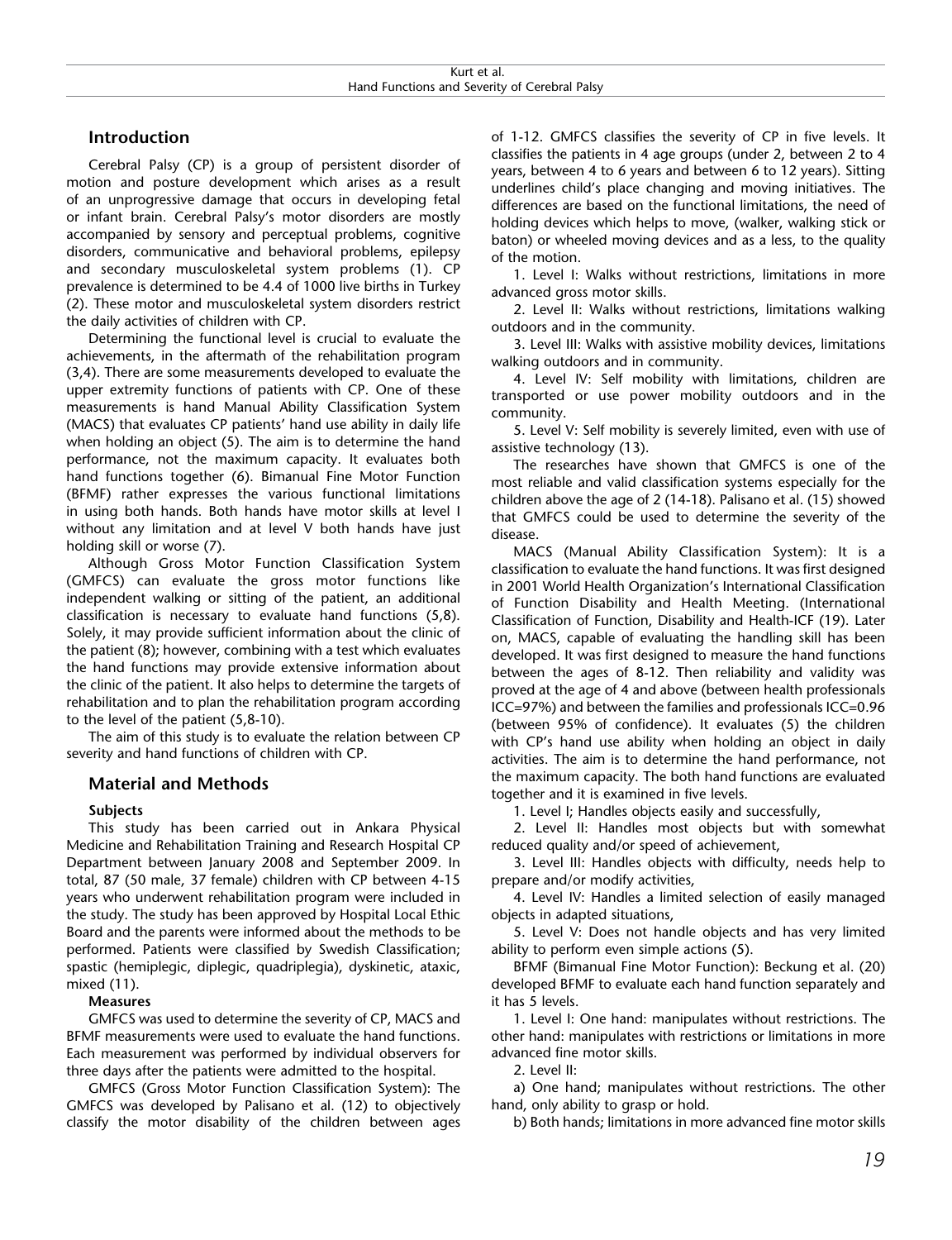# **Introduction**

Cerebral Palsy (CP) is a group of persistent disorder of motion and posture development which arises as a result of an unprogressive damage that occurs in developing fetal or infant brain. Cerebral Palsy's motor disorders are mostly accompanied by sensory and perceptual problems, cognitive disorders, communicative and behavioral problems, epilepsy and secondary musculoskeletal system problems (1). CP prevalence is determined to be 4.4 of 1000 live births in Turkey (2). These motor and musculoskeletal system disorders restrict the daily activities of children with CP.

Determining the functional level is crucial to evaluate the achievements, in the aftermath of the rehabilitation program (3,4). There are some measurements developed to evaluate the upper extremity functions of patients with CP. One of these measurements is hand Manual Ability Classification System (MACS) that evaluates CP patients' hand use ability in daily life when holding an object (5). The aim is to determine the hand performance, not the maximum capacity. It evaluates both hand functions together (6). Bimanual Fine Motor Function (BFMF) rather expresses the various functional limitations in using both hands. Both hands have motor skills at level I without any limitation and at level V both hands have just holding skill or worse (7).

Although Gross Motor Function Classification System (GMFCS) can evaluate the gross motor functions like independent walking or sitting of the patient, an additional classification is necessary to evaluate hand functions (5,8). Solely, it may provide sufficient information about the clinic of the patient (8); however, combining with a test which evaluates the hand functions may provide extensive information about the clinic of the patient. It also helps to determine the targets of rehabilitation and to plan the rehabilitation program according to the level of the patient (5,8-10).

The aim of this study is to evaluate the relation between CP severity and hand functions of children with CP.

# **Material and Methods**

## **Subjects**

This study has been carried out in Ankara Physical Medicine and Rehabilitation Training and Research Hospital CP Department between January 2008 and September 2009. In total, 87 (50 male, 37 female) children with CP between 4-15 years who underwent rehabilitation program were included in the study. The study has been approved by Hospital Local Ethic Board and the parents were informed about the methods to be performed. Patients were classified by Swedish Classification; spastic (hemiplegic, diplegic, quadriplegia), dyskinetic, ataxic, mixed (11).

**Measures** 

GMFCS was used to determine the severity of CP, MACS and BFMF measurements were used to evaluate the hand functions. Each measurement was performed by individual observers for three days after the patients were admitted to the hospital.

GMFCS (Gross Motor Function Classification System): The GMFCS was developed by Palisano et al. (12) to objectively classify the motor disability of the children between ages of 1-12. GMFCS classifies the severity of CP in five levels. It classifies the patients in 4 age groups (under 2, between 2 to 4 years, between 4 to 6 years and between 6 to 12 years). Sitting underlines child's place changing and moving initiatives. The differences are based on the functional limitations, the need of holding devices which helps to move, (walker, walking stick or baton) or wheeled moving devices and as a less, to the quality of the motion.

1. Level I: Walks without restrictions, limitations in more advanced gross motor skills.

2. Level II: Walks without restrictions, limitations walking outdoors and in the community.

3. Level III: Walks with assistive mobility devices, limitations walking outdoors and in community.

4. Level IV: Self mobility with limitations, children are transported or use power mobility outdoors and in the community.

5. Level V: Self mobility is severely limited, even with use of assistive technology (13).

The researches have shown that GMFCS is one of the most reliable and valid classification systems especially for the children above the age of 2 (14-18). Palisano et al. (15) showed that GMFCS could be used to determine the severity of the disease.

MACS (Manual Ability Classification System): It is a classification to evaluate the hand functions. It was first designed in 2001 World Health Organization's International Classification of Function Disability and Health Meeting. (International Classification of Function, Disability and Health-ICF (19). Later on, MACS, capable of evaluating the handling skill has been developed. It was first designed to measure the hand functions between the ages of 8-12. Then reliability and validity was proved at the age of 4 and above (between health professionals ICC=97%) and between the families and professionals ICC=0.96 (between 95% of confidence). It evaluates (5) the children with CP's hand use ability when holding an object in daily activities. The aim is to determine the hand performance, not the maximum capacity. The both hand functions are evaluated together and it is examined in five levels.

1. Level I; Handles objects easily and successfully,

2. Level II: Handles most objects but with somewhat reduced quality and/or speed of achievement,

3. Level III: Handles objects with difficulty, needs help to prepare and/or modify activities,

4. Level IV: Handles a limited selection of easily managed objects in adapted situations,

5. Level V: Does not handle objects and has very limited ability to perform even simple actions (5).

BFMF (Bimanual Fine Motor Function): Beckung et al. (20) developed BFMF to evaluate each hand function separately and it has 5 levels.

1. Level I: One hand: manipulates without restrictions. The other hand: manipulates with restrictions or limitations in more advanced fine motor skills.

2. Level II:

a) One hand; manipulates without restrictions. The other hand, only ability to grasp or hold.

b) Both hands; limitations in more advanced fine motor skills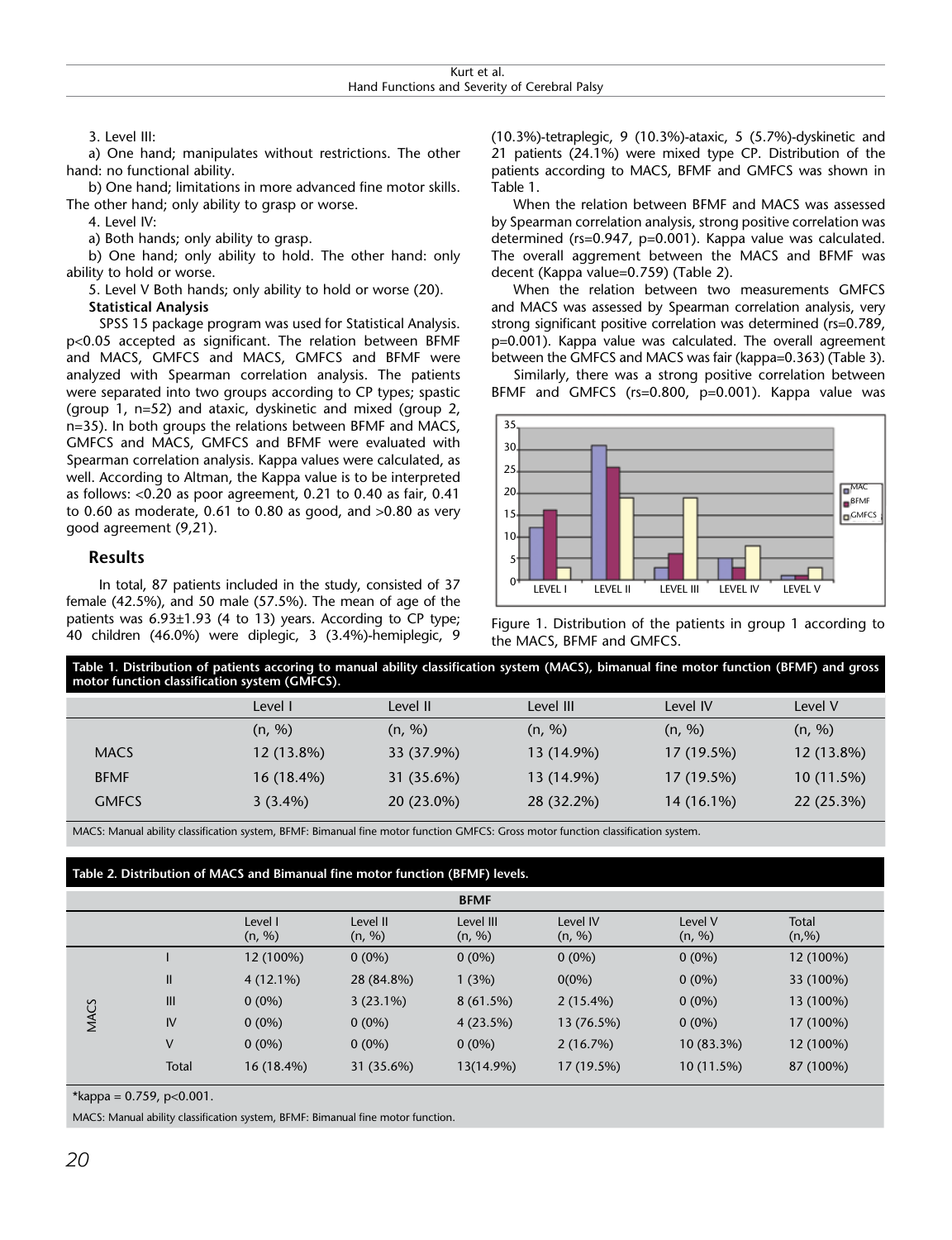3. Level III:

a) One hand; manipulates without restrictions. The other hand: no functional ability.

b) One hand; limitations in more advanced fine motor skills. The other hand; only ability to grasp or worse.

4. Level IV:

a) Both hands; only ability to grasp.

b) One hand; only ability to hold. The other hand: only ability to hold or worse.

5. Level V Both hands; only ability to hold or worse (20).

**Statistical Analysis**

SPSS 15 package program was used for Statistical Analysis. p<0.05 accepted as significant. The relation between BFMF and MACS, GMFCS and MACS, GMFCS and BFMF were analyzed with Spearman correlation analysis. The patients were separated into two groups according to CP types; spastic (group 1, n=52) and ataxic, dyskinetic and mixed (group 2, n=35). In both groups the relations between BFMF and MACS, GMFCS and MACS, GMFCS and BFMF were evaluated with Spearman correlation analysis. Kappa values were calculated, as well. According to Altman, the Kappa value is to be interpreted as follows: <0.20 as poor agreement, 0.21 to 0.40 as fair, 0.41 to 0.60 as moderate, 0.61 to 0.80 as good, and >0.80 as very good agreement (9,21).

# **Results**

In total, 87 patients included in the study, consisted of 37 female (42.5%), and 50 male (57.5%). The mean of age of the patients was 6.93±1.93 (4 to 13) years. According to CP type; 40 children (46.0%) were diplegic, 3 (3.4%)-hemiplegic, 9 (10.3%)-tetraplegic, 9 (10.3%)-ataxic, 5 (5.7%)-dyskinetic and 21 patients (24.1%) were mixed type CP. Distribution of the patients according to MACS, BFMF and GMFCS was shown in Table 1.

When the relation between BFMF and MACS was assessed by Spearman correlation analysis, strong positive correlation was determined (rs=0.947, p=0.001). Kappa value was calculated. The overall aggrement between the MACS and BFMF was decent (Kappa value=0.759) (Table 2).

When the relation between two measurements GMFCS and MACS was assessed by Spearman correlation analysis, very strong significant positive correlation was determined (rs=0.789, p=0.001). Kappa value was calculated. The overall agreement between the GMFCS and MACS was fair (kappa=0.363) (Table 3).

Similarly, there was a strong positive correlation between BFMF and GMFCS (rs=0.800, p=0.001). Kappa value was



Figure 1. Distribution of the patients in group 1 according to the MACS, BFMF and GMFCS.

| Table 1. Distribution of patients accoring to manual ability classification system (MACS), bimanual fine motor function (BFMF) and gross<br>motor function classification system (GMFCS). |            |            |            |            |            |  |  |  |  |
|-------------------------------------------------------------------------------------------------------------------------------------------------------------------------------------------|------------|------------|------------|------------|------------|--|--|--|--|
|                                                                                                                                                                                           | Level I    | Level II   | Level III  | Level IV   | Level V    |  |  |  |  |
|                                                                                                                                                                                           | (n, %)     | (n, %)     | (n, %)     | (n, %)     | (n, %)     |  |  |  |  |
| <b>MACS</b>                                                                                                                                                                               | 12 (13.8%) | 33 (37.9%) | 13 (14.9%) | 17 (19.5%) | 12 (13.8%) |  |  |  |  |
| <b>BFMF</b>                                                                                                                                                                               | 16 (18.4%) | 31 (35.6%) | 13 (14.9%) | 17 (19.5%) | 10 (11.5%) |  |  |  |  |
| <b>GMFCS</b>                                                                                                                                                                              | $3(3.4\%)$ | 20 (23.0%) | 28 (32.2%) | 14 (16.1%) | 22 (25.3%) |  |  |  |  |

MACS: Manual ability classification system, BFMF: Bimanual fine motor function GMFCS: Gross motor function classification system.

# **Table 2. Distribution of MACS and Bimanual fine motor function (BFMF) levels.**

|      |       |                   |                    | <b>BFMF</b>         |                    |                   |                        |
|------|-------|-------------------|--------------------|---------------------|--------------------|-------------------|------------------------|
|      |       | Level I<br>(n, %) | Level II<br>(n, %) | Level III<br>(n, %) | Level IV<br>(n, %) | Level V<br>(n, %) | <b>Total</b><br>(n, %) |
|      |       | 12 (100%)         | $0(0\%)$           | $0(0\%)$            | $0(0\%)$           | $0(0\%)$          | 12 (100%)              |
|      | Ш     | $4(12.1\%)$       | 28 (84.8%)         | 1(3%)               | $0(0\%)$           | $0(0\%)$          | 33 (100%)              |
|      | III   | $0(0\%)$          | $3(23.1\%)$        | 8(61.5%)            | $2(15.4\%)$        | $0(0\%)$          | 13 (100%)              |
| MACS | IV    | $0(0\%)$          | $0(0\%)$           | 4(23.5%)            | 13 (76.5%)         | $0(0\%)$          | 17 (100%)              |
|      | V     | $0(0\%)$          | $0(0\%)$           | $0(0\%)$            | 2(16.7%)           | 10 (83.3%)        | 12 (100%)              |
|      | Total | 16 (18.4%)        | 31 (35.6%)         | 13(14.9%)           | 17 (19.5%)         | 10 (11.5%)        | 87 (100%)              |

\*kappa =  $0.759$ , p< $0.001$ .

MACS: Manual ability classification system, BFMF: Bimanual fine motor function.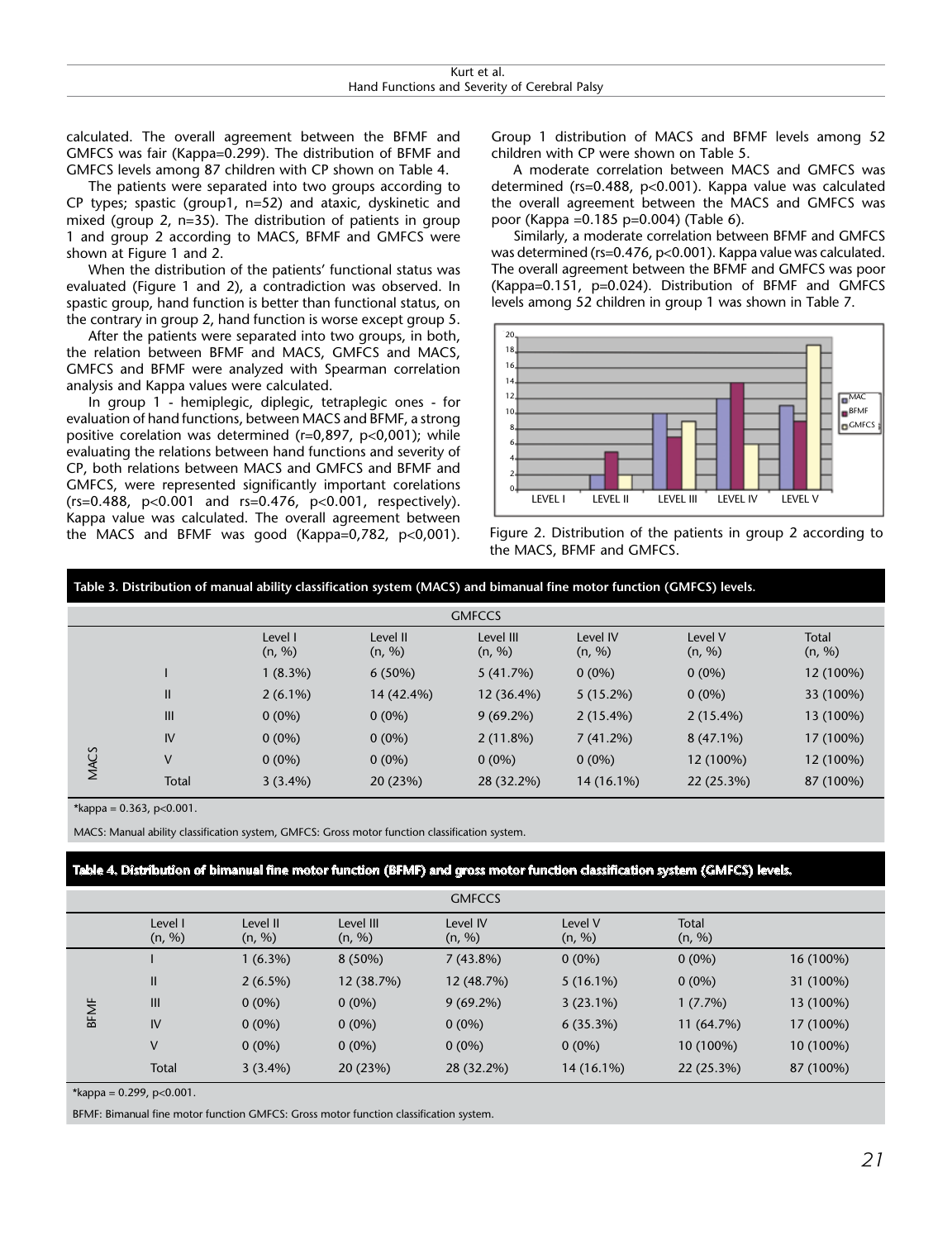| Kurt et al.                                   |
|-----------------------------------------------|
| Hand Functions and Severity of Cerebral Palsy |

calculated. The overall agreement between the BFMF and GMFCS was fair (Kappa=0.299). The distribution of BFMF and GMFCS levels among 87 children with CP shown on Table 4.

The patients were separated into two groups according to CP types; spastic (group1, n=52) and ataxic, dyskinetic and mixed (group 2, n=35). The distribution of patients in group 1 and group 2 according to MACS, BFMF and GMFCS were shown at Figure 1 and 2.

When the distribution of the patients' functional status was evaluated (Figure 1 and 2), a contradiction was observed. In spastic group, hand function is better than functional status, on the contrary in group 2, hand function is worse except group 5.

After the patients were separated into two groups, in both, the relation between BFMF and MACS, GMFCS and MACS, GMFCS and BFMF were analyzed with Spearman correlation analysis and Kappa values were calculated.

In group 1 - hemiplegic, diplegic, tetraplegic ones - for evaluation of hand functions, between MACS and BFMF, a strong positive corelation was determined (r=0,897, p<0,001); while evaluating the relations between hand functions and severity of CP, both relations between MACS and GMFCS and BFMF and GMFCS, were represented significantly important corelations (rs=0.488, p<0.001 and rs=0.476, p<0.001, respectively). Kappa value was calculated. The overall agreement between the MACS and BFMF was good (Kappa=0,782, p<0,001). Group 1 distribution of MACS and BFMF levels among 52 children with CP were shown on Table 5.

A moderate correlation between MACS and GMFCS was determined (rs=0.488, p<0.001). Kappa value was calculated the overall agreement between the MACS and GMFCS was poor (Kappa =0.185 p=0.004) (Table 6).

Similarly, a moderate correlation between BFMF and GMFCS was determined (rs=0.476, p<0.001). Kappa value was calculated. The overall agreement between the BFMF and GMFCS was poor (Kappa=0.151, p=0.024). Distribution of BFMF and GMFCS levels among 52 children in group 1 was shown in Table 7.



Figure 2. Distribution of the patients in group 2 according to the MACS, BFMF and GMFCS.

| Table 3. Distribution of manual ability classification system (MACS) and bimanual fine motor function (GMFCS) levels. |               |                   |                    |                     |                    |                   |                 |  |  |
|-----------------------------------------------------------------------------------------------------------------------|---------------|-------------------|--------------------|---------------------|--------------------|-------------------|-----------------|--|--|
| <b>GMFCCS</b>                                                                                                         |               |                   |                    |                     |                    |                   |                 |  |  |
|                                                                                                                       |               | Level I<br>(n, %) | Level II<br>(n, %) | Level III<br>(n, %) | Level IV<br>(n, %) | Level V<br>(n, %) | Total<br>(n, %) |  |  |
|                                                                                                                       |               | $1(8.3\%)$        | $6(50\%)$          | 5(41.7%)            | $0(0\%)$           | $0(0\%)$          | 12 (100%)       |  |  |
|                                                                                                                       | $\mathbf{II}$ | $2(6.1\%)$        | 14 (42.4%)         | 12 (36.4%)          | $5(15.2\%)$        | $0(0\%)$          | 33 (100%)       |  |  |
|                                                                                                                       | III           | $0(0\%)$          | $0(0\%)$           | $9(69.2\%)$         | $2(15.4\%)$        | $2(15.4\%)$       | 13 (100%)       |  |  |
|                                                                                                                       | IV            | $0(0\%)$          | $0(0\%)$           | 2(11.8%)            | 7(41.2%)           | $8(47.1\%)$       | 17 (100%)       |  |  |
| MACS                                                                                                                  | V             | $0(0\%)$          | $0(0\%)$           | $0(0\%)$            | $0(0\%)$           | 12 (100%)         | 12 (100%)       |  |  |
|                                                                                                                       | Total         | $3(3.4\%)$        | 20 (23%)           | 28 (32.2%)          | 14 (16.1%)         | 22 (25.3%)        | 87 (100%)       |  |  |

 $*kappa = 0.363, p<0.001$ .

MACS: Manual ability classification system, GMFCS: Gross motor function classification system.

# **Table 4. Distribution of bimanual fine motor function (BFMF) and gross motor function classification system (GMFCS) levels.**

|             |                   |                    |                     | <b>GMFCCS</b>      |                   |                 |           |
|-------------|-------------------|--------------------|---------------------|--------------------|-------------------|-----------------|-----------|
|             | Level I<br>(n, %) | Level II<br>(n, %) | Level III<br>(n, %) | Level IV<br>(n, %) | Level V<br>(n, %) | Total<br>(n, %) |           |
|             |                   | $1(6.3\%)$         | $8(50\%)$           | $7(43.8\%)$        | $0(0\%)$          | $0(0\%)$        | 16 (100%) |
|             | Ш                 | $2(6.5\%)$         | 12 (38.7%)          | 12 (48.7%)         | $5(16.1\%)$       | $0(0\%)$        | 31 (100%) |
| <b>BFMF</b> | III               | $0(0\%)$           | $0(0\%)$            | $9(69.2\%)$        | $3(23.1\%)$       | 1(7.7%)         | 13 (100%) |
|             | IV                | $0(0\%)$           | $0(0\%)$            | $0(0\%)$           | 6(35.3%)          | 11 (64.7%)      | 17 (100%) |
|             | V                 | $0(0\%)$           | $0(0\%)$            | $0(0\%)$           | $0(0\%)$          | 10 (100%)       | 10 (100%) |
|             | <b>Total</b>      | $3(3.4\%)$         | 20 (23%)            | 28 (32.2%)         | 14 (16.1%)        | 22 (25.3%)      | 87 (100%) |

\*kappa =  $0.299$ , p< $0.001$ .

BFMF: Bimanual fine motor function GMFCS: Gross motor function classification system.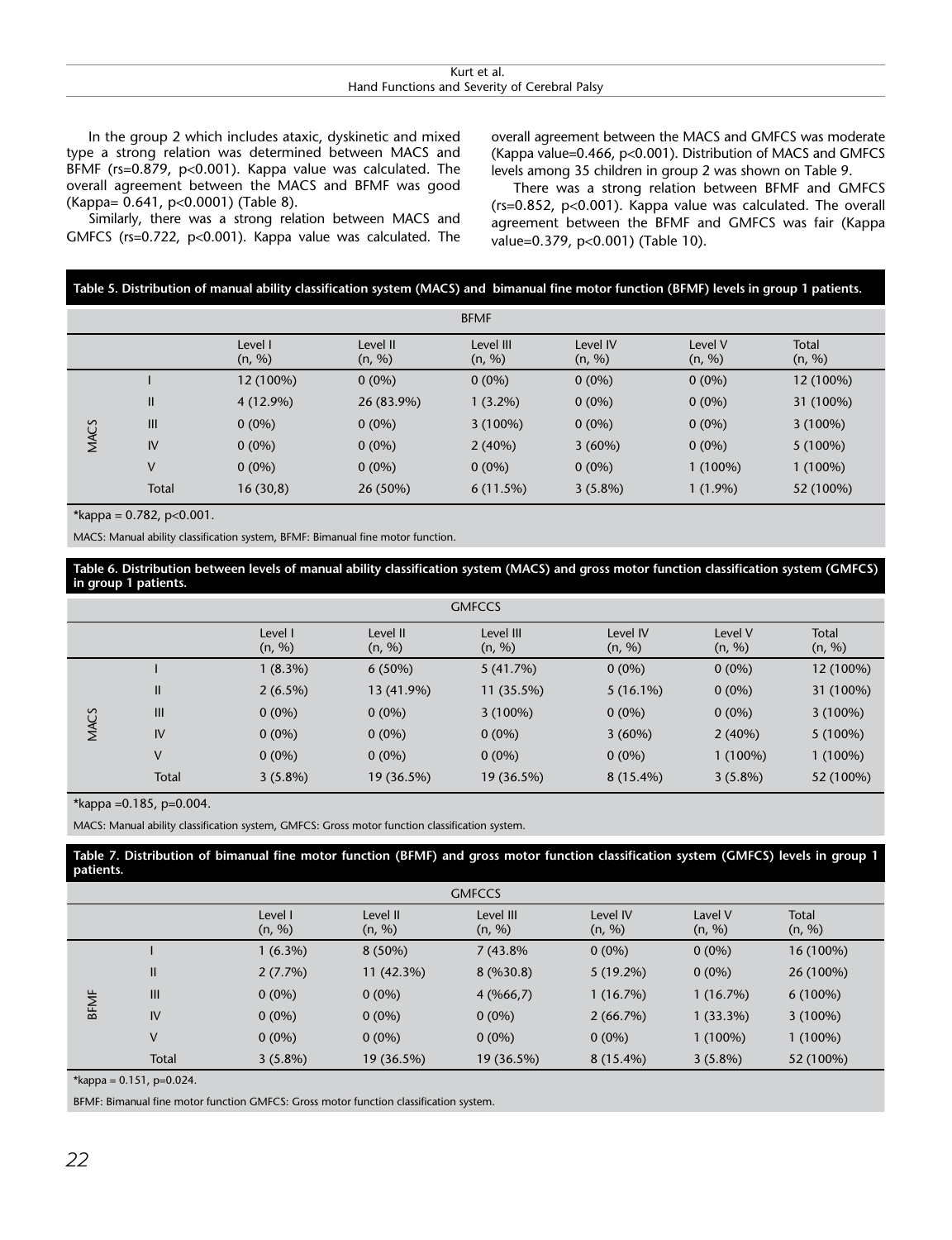| Kurt et al.                                   |
|-----------------------------------------------|
| Hand Functions and Severity of Cerebral Palsy |

In the group 2 which includes ataxic, dyskinetic and mixed type a strong relation was determined between MACS and BFMF (rs=0.879, p<0.001). Kappa value was calculated. The overall agreement between the MACS and BFMF was good (Kappa= 0.641, p<0.0001) (Table 8).

Similarly, there was a strong relation between MACS and GMFCS (rs=0.722, p<0.001). Kappa value was calculated. The overall agreement between the MACS and GMFCS was moderate (Kappa value=0.466, p<0.001). Distribution of MACS and GMFCS levels among 35 children in group 2 was shown on Table 9.

There was a strong relation between BFMF and GMFCS (rs=0.852, p<0.001). Kappa value was calculated. The overall agreement between the BFMF and GMFCS was fair (Kappa value=0.379, p<0.001) (Table 10).

| Table 5. Distribution of manual ability classification system (MACS) and bimanual fine motor function (BFMF) levels in group 1 patients. |  |  |  |
|------------------------------------------------------------------------------------------------------------------------------------------|--|--|--|
|------------------------------------------------------------------------------------------------------------------------------------------|--|--|--|

| <b>BFMF</b> |       |                   |                    |                     |                    |                   |                 |  |
|-------------|-------|-------------------|--------------------|---------------------|--------------------|-------------------|-----------------|--|
|             |       | Level I<br>(n, %) | Level II<br>(n, %) | Level III<br>(n, %) | Level IV<br>(n, %) | Level V<br>(n, %) | Total<br>(n, %) |  |
|             |       | 12 (100%)         | $0(0\%)$           | $0(0\%)$            | $0(0\%)$           | $0(0\%)$          | 12 (100%)       |  |
|             | Ш     | 4 (12.9%)         | 26 (83.9%)         | $1(3.2\%)$          | $0(0\%)$           | $0(0\%)$          | 31 (100%)       |  |
|             | III   | $0(0\%)$          | $0(0\%)$           | $3(100\%)$          | $0(0\%)$           | $0(0\%)$          | $3(100\%)$      |  |
| <b>MACS</b> | IV    | $0(0\%)$          | $0(0\%)$           | 2(40%)              | 3(60%)             | $0(0\%)$          | $5(100\%)$      |  |
|             | V     | $0(0\%)$          | $0(0\%)$           | $0(0\%)$            | $0(0\%)$           | $1(100\%)$        | $1(100\%)$      |  |
|             | Total | 16(30,8)          | 26 (50%)           | 6(11.5%)            | $3(5.8\%)$         | $1(1.9\%)$        | 52 (100%)       |  |

\*kappa =  $0.782$ , p< $0.001$ .

MACS: Manual ability classification system, BFMF: Bimanual fine motor function.

**Table 6. Distribution between levels of manual ability classification system (MACS) and gross motor function classification system (GMFCS) in group 1 patients.**

|      | <b>GMFCCS</b>  |                   |                    |                     |                    |                   |                        |  |  |  |
|------|----------------|-------------------|--------------------|---------------------|--------------------|-------------------|------------------------|--|--|--|
|      |                | Level I<br>(n, %) | Level II<br>(n, %) | Level III<br>(n, %) | Level IV<br>(n, %) | Level V<br>(n, %) | <b>Total</b><br>(n, %) |  |  |  |
|      |                | $1(8.3\%)$        | $6(50\%)$          | 5(41.7%)            | $0(0\%)$           | $0(0\%)$          | 12 (100%)              |  |  |  |
|      | Ш              | $2(6.5\%)$        | 13 (41.9%)         | 11 (35.5%)          | $5(16.1\%)$        | $0(0\%)$          | 31 (100%)              |  |  |  |
|      | $\mathbf{III}$ | $0(0\%)$          | $0(0\%)$           | $3(100\%)$          | $0(0\%)$           | $0(0\%)$          | $3(100\%)$             |  |  |  |
| MACS | IV             | $0(0\%)$          | $0(0\%)$           | $0(0\%)$            | 3(60%)             | 2(40%)            | $5(100\%)$             |  |  |  |
|      | V              | $0(0\%)$          | $0(0\%)$           | $0(0\%)$            | $0(0\%)$           | $1(100\%)$        | $1(100\%)$             |  |  |  |
|      | <b>Total</b>   | $3(5.8\%)$        | 19 (36.5%)         | 19 (36.5%)          | $8(15.4\%)$        | $3(5.8\%)$        | 52 (100%)              |  |  |  |

\*kappa = 0.185, p= $0.004$ .

MACS: Manual ability classification system, GMFCS: Gross motor function classification system.

**Table 7. Distribution of bimanual fine motor function (BFMF) and gross motor function classification system (GMFCS) levels in group 1 patients.**

|             | <b>GMFCCS</b> |                   |                    |                     |                    |                   |                        |  |  |
|-------------|---------------|-------------------|--------------------|---------------------|--------------------|-------------------|------------------------|--|--|
|             |               | Level I<br>(n, %) | Level II<br>(n, %) | Level III<br>(n, %) | Level IV<br>(n, %) | Lavel V<br>(n, %) | <b>Total</b><br>(n, %) |  |  |
|             |               | $1(6.3\%)$        | $8(50\%)$          | 7 (43.8%)           | $0(0\%)$           | $0(0\%)$          | 16 (100%)              |  |  |
|             | Ш             | 2(7.7%)           | 11 (42.3%)         | 8(9630.8)           | $5(19.2\%)$        | $0(0\%)$          | 26 (100%)              |  |  |
| <b>BFMF</b> | III           | $0(0\%)$          | $0(0\%)$           | 4(%66,7)            | 1 (16.7%)          | 1(16.7%)          | $6(100\%)$             |  |  |
|             | IV            | $0(0\%)$          | $0(0\%)$           | $0(0\%)$            | 2(66.7%)           | $1(33.3\%)$       | $3(100\%)$             |  |  |
|             | V             | $0(0\%)$          | $0(0\%)$           | $0(0\%)$            | $0(0\%)$           | $1(100\%)$        | $1(100\%)$             |  |  |
|             | Total         | $3(5.8\%)$        | 19 (36.5%)         | 19 (36.5%)          | $8(15.4\%)$        | $3(5.8\%)$        | 52 (100%)              |  |  |

\*kappa =  $0.151$ , p= $0.024$ .

BFMF: Bimanual fine motor function GMFCS: Gross motor function classification system.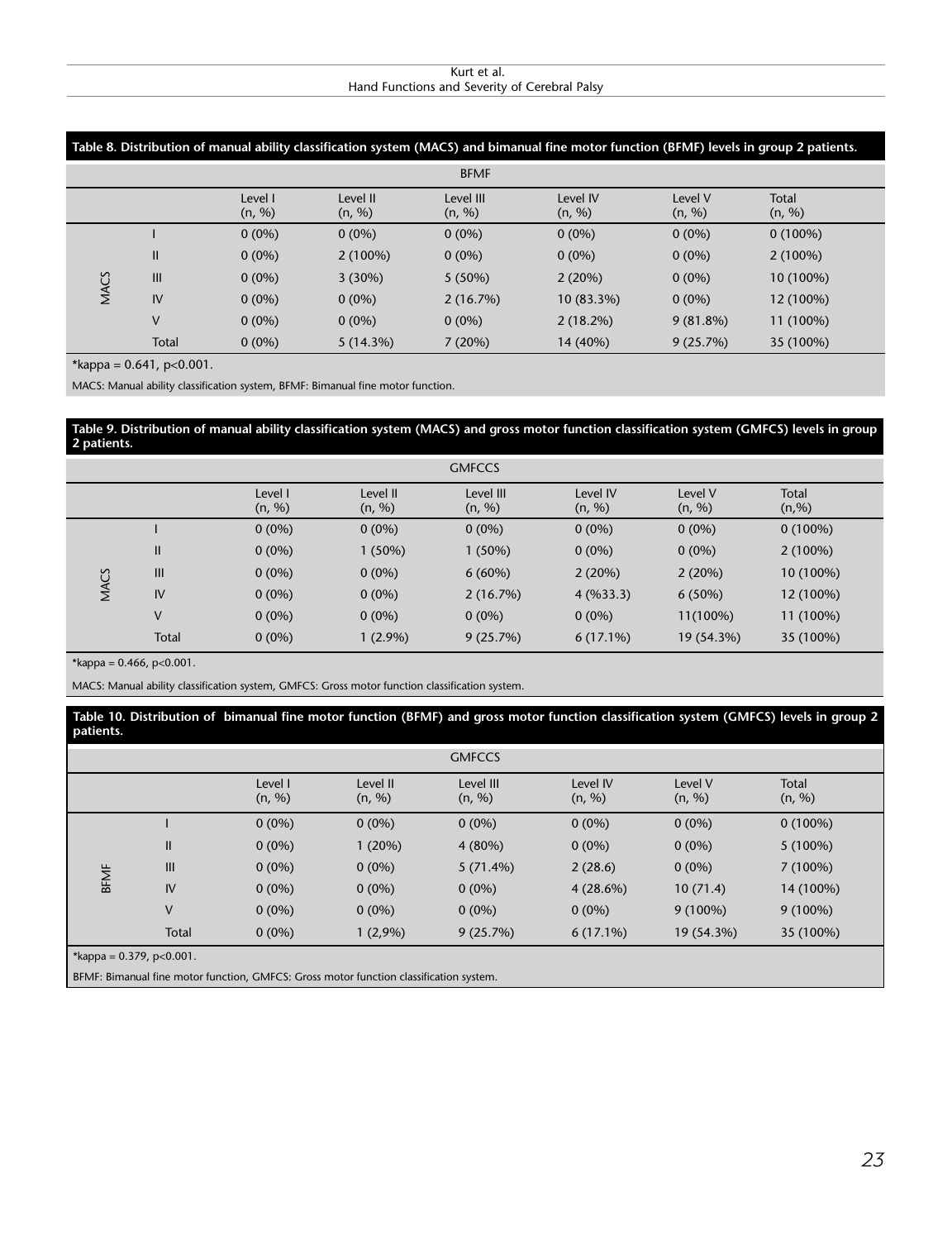#### Kurt et al. Hand Functions and Severity of Cerebral Palsy

|      | Table 8. Distribution of manual ability classification system (MACS) and bimanual fine motor function (BFMF) levels in group 2 patients. |                   |                    |                     |                    |                   |                        |  |  |  |
|------|------------------------------------------------------------------------------------------------------------------------------------------|-------------------|--------------------|---------------------|--------------------|-------------------|------------------------|--|--|--|
|      | <b>BFMF</b>                                                                                                                              |                   |                    |                     |                    |                   |                        |  |  |  |
|      |                                                                                                                                          | Level I<br>(n, %) | Level II<br>(n, %) | Level III<br>(n, %) | Level IV<br>(n, %) | Level V<br>(n, %) | <b>Total</b><br>(n, %) |  |  |  |
|      |                                                                                                                                          | $0(0\%)$          | $0(0\%)$           | $0(0\%)$            | $0(0\%)$           | $0(0\%)$          | $0(100\%)$             |  |  |  |
|      | Ш                                                                                                                                        | $0(0\%)$          | $2(100\%)$         | $0(0\%)$            | $0(0\%)$           | $0(0\%)$          | $2(100\%)$             |  |  |  |
| MACS | III                                                                                                                                      | $0(0\%)$          | 3(30%)             | $5(50\%)$           | 2(20%)             | $0(0\%)$          | 10 (100%)              |  |  |  |
|      | IV                                                                                                                                       | $0(0\%)$          | $0(0\%)$           | 2(16.7%)            | 10 (83.3%)         | $0(0\%)$          | 12 (100%)              |  |  |  |
|      | V                                                                                                                                        | $0(0\%)$          | $0(0\%)$           | $0(0\%)$            | $2(18.2\%)$        | $9(81.8\%)$       | 11 (100%)              |  |  |  |
|      | <b>Total</b>                                                                                                                             | $0(0\%)$          | 5(14.3%)           | 7(20%)              | 14 (40%)           | 9(25.7%)          | 35 (100%)              |  |  |  |

\*kappa =  $0.641$ , p< $0.001$ .

MACS: Manual ability classification system, BFMF: Bimanual fine motor function.

#### **Table 9. Distribution of manual ability classification system (MACS) and gross motor function classification system (GMFCS) levels in group 2 patients.**

| <b>GMFCCS</b> |                |                   |                    |                     |                    |                   |                 |  |
|---------------|----------------|-------------------|--------------------|---------------------|--------------------|-------------------|-----------------|--|
|               |                | Level I<br>(n, %) | Level II<br>(n, %) | Level III<br>(n, %) | Level IV<br>(n, %) | Level V<br>(n, %) | Total<br>(n, %) |  |
|               |                | $0(0\%)$          | $0(0\%)$           | $0(0\%)$            | $0(0\%)$           | $0(0\%)$          | $0(100\%)$      |  |
|               | $\mathbf{II}$  | $0(0\%)$          | $1(50\%)$          | 1(50%)              | $0(0\%)$           | $0(0\%)$          | $2(100\%)$      |  |
|               | $\mathbf{III}$ | $0(0\%)$          | $0(0\%)$           | $6(60\%)$           | 2(20%)             | 2(20%)            | 10 (100%)       |  |
| <b>MACS</b>   | IV             | $0(0\%)$          | $0(0\%)$           | 2(16.7%)            | 4(9633.3)          | 6(50%)            | 12 (100%)       |  |
|               | V              | $0(0\%)$          | $0(0\%)$           | $0(0\%)$            | $0(0\%)$           | 11(100%)          | 11 (100%)       |  |
|               | Total          | $0(0\%)$          | $1(2.9\%)$         | 9(25.7%)            | $6(17.1\%)$        | 19 (54.3%)        | 35 (100%)       |  |

\*kappa =  $0.466$ , p< $0.001$ .

MACS: Manual ability classification system, GMFCS: Gross motor function classification system.

#### **Table 10. Distribution of bimanual fine motor function (BFMF) and gross motor function classification system (GMFCS) levels in group 2 patients.**

| <b>GMFCCS</b>            |              |                   |                    |                     |                    |                   |                 |  |  |  |  |
|--------------------------|--------------|-------------------|--------------------|---------------------|--------------------|-------------------|-----------------|--|--|--|--|
|                          |              | Level I<br>(n, %) | Level II<br>(n, %) | Level III<br>(n, %) | Level IV<br>(n, %) | Level V<br>(n, %) | Total<br>(n, %) |  |  |  |  |
| <b>BFMF</b>              |              | $0(0\%)$          | $0(0\%)$           | $0(0\%)$            | $0(0\%)$           | $0(0\%)$          | $0(100\%)$      |  |  |  |  |
|                          | $\mathsf{I}$ | $0(0\%)$          | 1(20%)             | 4(80%)              | $0(0\%)$           | $0(0\%)$          | $5(100\%)$      |  |  |  |  |
|                          | III          | $0(0\%)$          | $0(0\%)$           | 5(71.4%)            | 2(28.6)            | $0(0\%)$          | 7(100%)         |  |  |  |  |
|                          | IV           | $0(0\%)$          | $0(0\%)$           | $0(0\%)$            | 4(28.6%)           | 10(71.4)          | 14 (100%)       |  |  |  |  |
|                          | V            | $0(0\%)$          | $0(0\%)$           | $0(0\%)$            | $0(0\%)$           | $9(100\%)$        | $9(100\%)$      |  |  |  |  |
|                          | Total        | $0(0\%)$          | $1(2,9\%)$         | 9(25.7%)            | $6(17.1\%)$        | 19 (54.3%)        | 35 (100%)       |  |  |  |  |
| *kappa = 0.379, p<0.001. |              |                   |                    |                     |                    |                   |                 |  |  |  |  |

BFMF: Bimanual fine motor function, GMFCS: Gross motor function classification system.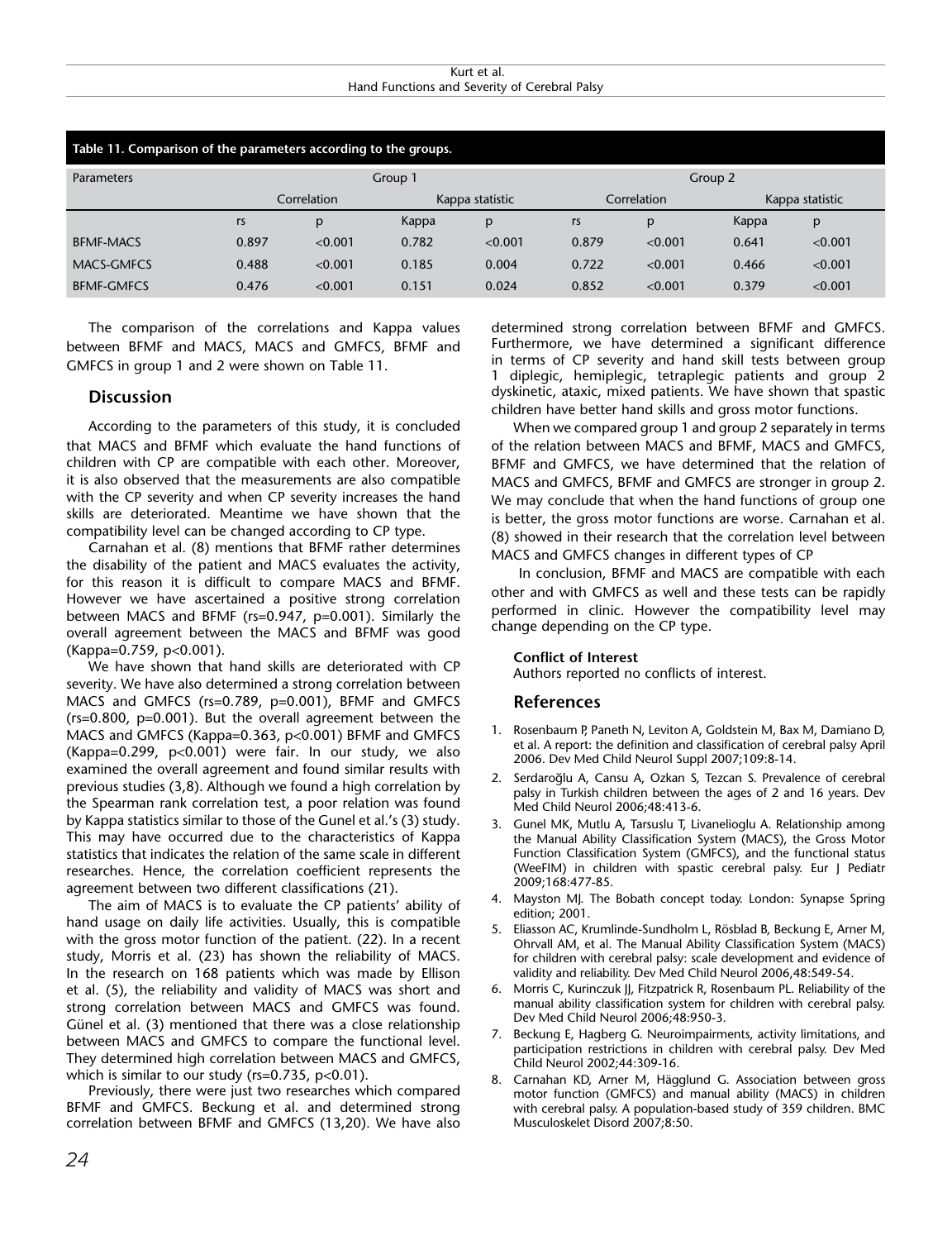Kurt et al. Hand Functions and Severity of Cerebral Palsy

| Table 11. Comparison of the parameters according to the groups. |             |         |                 |         |             |              |                 |         |  |  |  |  |  |
|-----------------------------------------------------------------|-------------|---------|-----------------|---------|-------------|--------------|-----------------|---------|--|--|--|--|--|
| <b>Parameters</b>                                               |             |         | Group 1         |         | Group 2     |              |                 |         |  |  |  |  |  |
|                                                                 | Correlation |         | Kappa statistic |         | Correlation |              | Kappa statistic |         |  |  |  |  |  |
|                                                                 | rs          | p       | Kappa           | p       | rs          | $\mathsf{p}$ | Kappa           | p       |  |  |  |  |  |
| <b>BFMF-MACS</b>                                                | 0.897       | < 0.001 | 0.782           | < 0.001 | 0.879       | < 0.001      | 0.641           | < 0.001 |  |  |  |  |  |
| MACS-GMFCS                                                      | 0.488       | < 0.001 | 0.185           | 0.004   | 0.722       | < 0.001      | 0.466           | < 0.001 |  |  |  |  |  |
| <b>BFMF-GMFCS</b>                                               | 0.476       | < 0.001 | 0.151           | 0.024   | 0.852       | < 0.001      | 0.379           | < 0.001 |  |  |  |  |  |

The comparison of the correlations and Kappa values between BFMF and MACS, MACS and GMFCS, BFMF and GMFCS in group 1 and 2 were shown on Table 11.

# **Discussion**

According to the parameters of this study, it is concluded that MACS and BFMF which evaluate the hand functions of children with CP are compatible with each other. Moreover, it is also observed that the measurements are also compatible with the CP severity and when CP severity increases the hand skills are deteriorated. Meantime we have shown that the compatibility level can be changed according to CP type.

Carnahan et al. (8) mentions that BFMF rather determines the disability of the patient and MACS evaluates the activity, for this reason it is difficult to compare MACS and BFMF. However we have ascertained a positive strong correlation between MACS and BFMF (rs=0.947, p=0.001). Similarly the overall agreement between the MACS and BFMF was good (Kappa=0.759, p<0.001).

We have shown that hand skills are deteriorated with CP severity. We have also determined a strong correlation between MACS and GMFCS (rs=0.789, p=0.001), BFMF and GMFCS (rs=0.800, p=0.001). But the overall agreement between the MACS and GMFCS (Kappa=0.363, p<0.001) BFMF and GMFCS (Kappa=0.299, p<0.001) were fair. In our study, we also examined the overall agreement and found similar results with previous studies (3,8). Although we found a high correlation by the Spearman rank correlation test, a poor relation was found by Kappa statistics similar to those of the Gunel et al.'s (3) study. This may have occurred due to the characteristics of Kappa statistics that indicates the relation of the same scale in different researches. Hence, the correlation coefficient represents the agreement between two different classifications (21).

The aim of MACS is to evaluate the CP patients' ability of hand usage on daily life activities. Usually, this is compatible with the gross motor function of the patient. (22). In a recent study, Morris et al. (23) has shown the reliability of MACS. In the research on 168 patients which was made by Ellison et al. (5), the reliability and validity of MACS was short and strong correlation between MACS and GMFCS was found. Günel et al. (3) mentioned that there was a close relationship between MACS and GMFCS to compare the functional level. They determined high correlation between MACS and GMFCS, which is similar to our study (rs=0.735, p<0.01).

Previously, there were just two researches which compared BFMF and GMFCS. Beckung et al. and determined strong correlation between BFMF and GMFCS (13,20). We have also determined strong correlation between BFMF and GMFCS. Furthermore, we have determined a significant difference in terms of CP severity and hand skill tests between group 1 diplegic, hemiplegic, tetraplegic patients and group 2 dyskinetic, ataxic, mixed patients. We have shown that spastic children have better hand skills and gross motor functions.

When we compared group 1 and group 2 separately in terms of the relation between MACS and BFMF, MACS and GMFCS, BFMF and GMFCS, we have determined that the relation of MACS and GMFCS, BFMF and GMFCS are stronger in group 2. We may conclude that when the hand functions of group one is better, the gross motor functions are worse. Carnahan et al. (8) showed in their research that the correlation level between MACS and GMFCS changes in different types of CP

 In conclusion, BFMF and MACS are compatible with each other and with GMFCS as well and these tests can be rapidly performed in clinic. However the compatibility level may change depending on the CP type.

## **Conflict of Interest**

Authors reported no conflicts of interest.

## **References**

- 1. Rosenbaum P, Paneth N, Leviton A, Goldstein M, Bax M, Damiano D, et al. A report: the definition and classification of cerebral palsy April 2006. Dev Med Child Neurol Suppl 2007;109:8-14.
- 2. Serdaroğlu A, Cansu A, Ozkan S, Tezcan S. Prevalence of cerebral palsy in Turkish children between the ages of 2 and 16 years. Dev Med Child Neurol 2006;48:413-6.
- 3. Gunel MK, Mutlu A, Tarsuslu T, Livanelioglu A. Relationship among the Manual Ability Classification System (MACS), the Gross Motor Function Classification System (GMFCS), and the functional status (WeeFIM) in children with spastic cerebral palsy. Eur J Pediatr 2009;168:477-85.
- 4. Mayston MJ. The Bobath concept today. London: Synapse Spring edition; 2001.
- 5. Eliasson AC, Krumlinde-Sundholm L, Rösblad B, Beckung E, Arner M, Ohrvall AM, et al. The Manual Ability Classification System (MACS) for children with cerebral palsy: scale development and evidence of validity and reliability. Dev Med Child Neurol 2006,48:549-54.
- 6. Morris C, Kurinczuk JJ, Fitzpatrick R, Rosenbaum PL. Reliability of the manual ability classification system for children with cerebral palsy. Dev Med Child Neurol 2006;48:950-3.
- 7. Beckung E, Hagberg G. Neuroimpairments, activity limitations, and participation restrictions in children with cerebral palsy. Dev Med Child Neurol 2002;44:309-16.
- 8. Carnahan KD, Arner M, Hägglund G. Association between gross motor function (GMFCS) and manual ability (MACS) in children with cerebral palsy. A population-based study of 359 children. BMC Musculoskelet Disord 2007;8:50.